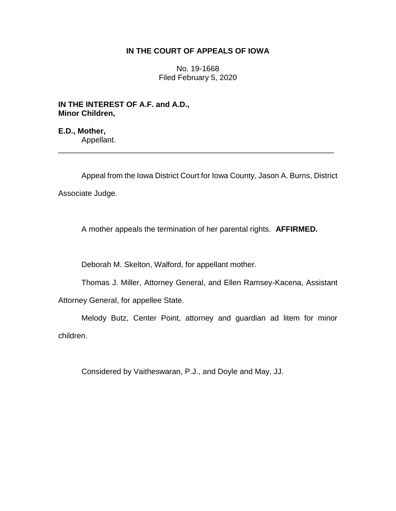## **IN THE COURT OF APPEALS OF IOWA**

No. 19-1668 Filed February 5, 2020

**IN THE INTEREST OF A.F. and A.D., Minor Children,**

**E.D., Mother,** Appellant.

Appeal from the Iowa District Court for Iowa County, Jason A. Burns, District Associate Judge.

\_\_\_\_\_\_\_\_\_\_\_\_\_\_\_\_\_\_\_\_\_\_\_\_\_\_\_\_\_\_\_\_\_\_\_\_\_\_\_\_\_\_\_\_\_\_\_\_\_\_\_\_\_\_\_\_\_\_\_\_\_\_\_\_

A mother appeals the termination of her parental rights. **AFFIRMED.**

Deborah M. Skelton, Walford, for appellant mother.

Thomas J. Miller, Attorney General, and Ellen Ramsey-Kacena, Assistant

Attorney General, for appellee State.

Melody Butz, Center Point, attorney and guardian ad litem for minor children.

Considered by Vaitheswaran, P.J., and Doyle and May, JJ.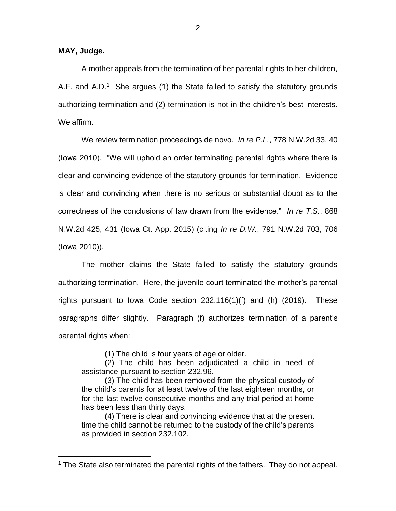**MAY, Judge.**

 $\overline{a}$ 

A mother appeals from the termination of her parental rights to her children, A.F. and A.D.<sup>1</sup> She argues (1) the State failed to satisfy the statutory grounds authorizing termination and (2) termination is not in the children's best interests. We affirm.

We review termination proceedings de novo. *In re P.L.*, 778 N.W.2d 33, 40 (Iowa 2010). "We will uphold an order terminating parental rights where there is clear and convincing evidence of the statutory grounds for termination. Evidence is clear and convincing when there is no serious or substantial doubt as to the correctness of the conclusions of law drawn from the evidence." *In re T.S.*, 868 N.W.2d 425, 431 (Iowa Ct. App. 2015) (citing *In re D.W.*, 791 N.W.2d 703, 706 (Iowa 2010)).

The mother claims the State failed to satisfy the statutory grounds authorizing termination. Here, the juvenile court terminated the mother's parental rights pursuant to Iowa Code section 232.116(1)(f) and (h) (2019). These paragraphs differ slightly. Paragraph (f) authorizes termination of a parent's parental rights when:

(1) The child is four years of age or older.

(2) The child has been adjudicated a child in need of assistance pursuant to section 232.96.

(3) The child has been removed from the physical custody of the child's parents for at least twelve of the last eighteen months, or for the last twelve consecutive months and any trial period at home has been less than thirty days.

(4) There is clear and convincing evidence that at the present time the child cannot be returned to the custody of the child's parents as provided in section 232.102.

<sup>&</sup>lt;sup>1</sup> The State also terminated the parental rights of the fathers. They do not appeal.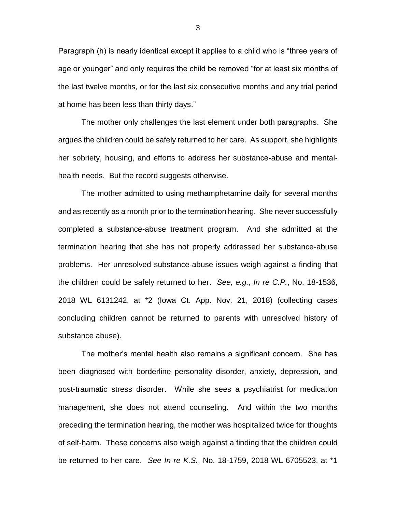Paragraph (h) is nearly identical except it applies to a child who is "three years of age or younger" and only requires the child be removed "for at least six months of the last twelve months, or for the last six consecutive months and any trial period at home has been less than thirty days."

The mother only challenges the last element under both paragraphs. She argues the children could be safely returned to her care. As support, she highlights her sobriety, housing, and efforts to address her substance-abuse and mentalhealth needs. But the record suggests otherwise.

The mother admitted to using methamphetamine daily for several months and as recently as a month prior to the termination hearing. She never successfully completed a substance-abuse treatment program. And she admitted at the termination hearing that she has not properly addressed her substance-abuse problems. Her unresolved substance-abuse issues weigh against a finding that the children could be safely returned to her. *See, e.g.*, *In re C.P.*, No. 18-1536, 2018 WL 6131242, at \*2 (Iowa Ct. App. Nov. 21, 2018) (collecting cases concluding children cannot be returned to parents with unresolved history of substance abuse).

The mother's mental health also remains a significant concern. She has been diagnosed with borderline personality disorder, anxiety, depression, and post-traumatic stress disorder. While she sees a psychiatrist for medication management, she does not attend counseling. And within the two months preceding the termination hearing, the mother was hospitalized twice for thoughts of self-harm. These concerns also weigh against a finding that the children could be returned to her care. *See In re K.S.*, No. 18-1759, 2018 WL 6705523, at \*1

3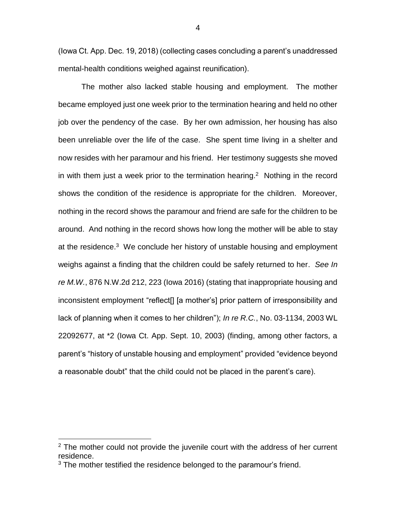(Iowa Ct. App. Dec. 19, 2018) (collecting cases concluding a parent's unaddressed mental-health conditions weighed against reunification).

The mother also lacked stable housing and employment. The mother became employed just one week prior to the termination hearing and held no other job over the pendency of the case. By her own admission, her housing has also been unreliable over the life of the case. She spent time living in a shelter and now resides with her paramour and his friend. Her testimony suggests she moved in with them just a week prior to the termination hearing.<sup>2</sup> Nothing in the record shows the condition of the residence is appropriate for the children. Moreover, nothing in the record shows the paramour and friend are safe for the children to be around. And nothing in the record shows how long the mother will be able to stay at the residence.<sup>3</sup> We conclude her history of unstable housing and employment weighs against a finding that the children could be safely returned to her. *See In re M.W.*, 876 N.W.2d 212, 223 (Iowa 2016) (stating that inappropriate housing and inconsistent employment "reflect[] [a mother's] prior pattern of irresponsibility and lack of planning when it comes to her children"); *In re R.C.*, No. 03-1134, 2003 WL 22092677, at \*2 (Iowa Ct. App. Sept. 10, 2003) (finding, among other factors, a parent's "history of unstable housing and employment" provided "evidence beyond a reasonable doubt" that the child could not be placed in the parent's care).

 $\overline{a}$ 

 $2$  The mother could not provide the juvenile court with the address of her current residence.

<sup>&</sup>lt;sup>3</sup> The mother testified the residence belonged to the paramour's friend.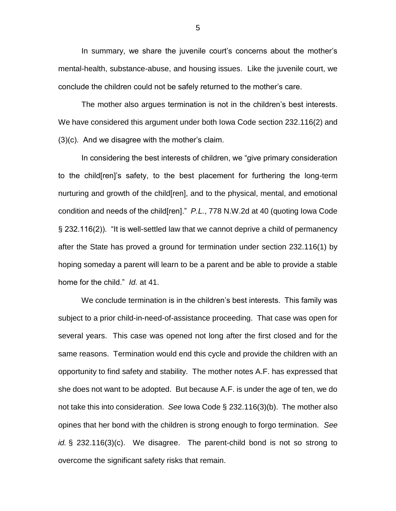In summary, we share the juvenile court's concerns about the mother's mental-health, substance-abuse, and housing issues. Like the juvenile court, we conclude the children could not be safely returned to the mother's care.

The mother also argues termination is not in the children's best interests. We have considered this argument under both Iowa Code section 232.116(2) and (3)(c). And we disagree with the mother's claim.

In considering the best interests of children, we "give primary consideration to the child[ren]'s safety, to the best placement for furthering the long-term nurturing and growth of the child[ren], and to the physical, mental, and emotional condition and needs of the child[ren]." *P.L.*, 778 N.W.2d at 40 (quoting Iowa Code § 232.116(2)). "It is well-settled law that we cannot deprive a child of permanency after the State has proved a ground for termination under section 232.116(1) by hoping someday a parent will learn to be a parent and be able to provide a stable home for the child." *Id.* at 41.

We conclude termination is in the children's best interests. This family was subject to a prior child-in-need-of-assistance proceeding. That case was open for several years. This case was opened not long after the first closed and for the same reasons. Termination would end this cycle and provide the children with an opportunity to find safety and stability. The mother notes A.F. has expressed that she does not want to be adopted. But because A.F. is under the age of ten, we do not take this into consideration. *See* Iowa Code § 232.116(3)(b). The mother also opines that her bond with the children is strong enough to forgo termination. *See id.* § 232.116(3)(c). We disagree. The parent-child bond is not so strong to overcome the significant safety risks that remain.

5